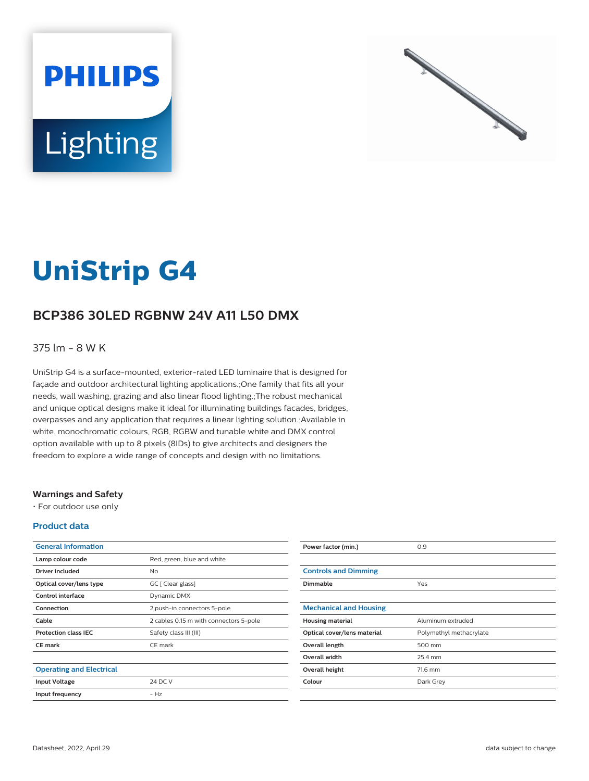



# **UniStrip G4**

# **BCP386 30LED RGBNW 24V A11 L50 DMX**

### 375 lm - 8 W K

UniStrip G4 is a surface-mounted, exterior-rated LED luminaire that is designed for façade and outdoor architectural lighting applications.;One family that fits all your needs, wall washing, grazing and also linear flood lighting.;The robust mechanical and unique optical designs make it ideal for illuminating buildings facades, bridges, overpasses and any application that requires a linear lighting solution.;Available in white, monochromatic colours, RGB, RGBW and tunable white and DMX control option available with up to 8 pixels (8IDs) to give architects and designers the freedom to explore a wide range of concepts and design with no limitations.

#### **Warnings and Safety**

• For outdoor use only

#### **Product data**

| <b>General Information</b>      |                                        |
|---------------------------------|----------------------------------------|
| Lamp colour code                | Red, green, blue and white             |
| Driver included                 | Nο                                     |
| Optical cover/lens type         | GC [ Clear glass]                      |
| Control interface               | Dynamic DMX                            |
| Connection                      | 2 push-in connectors 5-pole            |
| Cable                           | 2 cables 0.15 m with connectors 5-pole |
| <b>Protection class IEC</b>     | Safety class III (III)                 |
| <b>CE</b> mark                  | CE mark                                |
|                                 |                                        |
| <b>Operating and Electrical</b> |                                        |
| <b>Input Voltage</b>            | 24 DC V                                |
| Input frequency                 | $- H7$                                 |
|                                 |                                        |

| Power factor (min.)           | 0.9                     |
|-------------------------------|-------------------------|
|                               |                         |
| <b>Controls and Dimming</b>   |                         |
| <b>Dimmable</b>               | Yes                     |
|                               |                         |
| <b>Mechanical and Housing</b> |                         |
| <b>Housing material</b>       | Aluminum extruded       |
| Optical cover/lens material   | Polymethyl methacrylate |
| Overall length                | 500 mm                  |
| <b>Overall width</b>          | 25.4 mm                 |
| Overall height                | 71.6 mm                 |
| Colour                        | Dark Grey               |
|                               |                         |